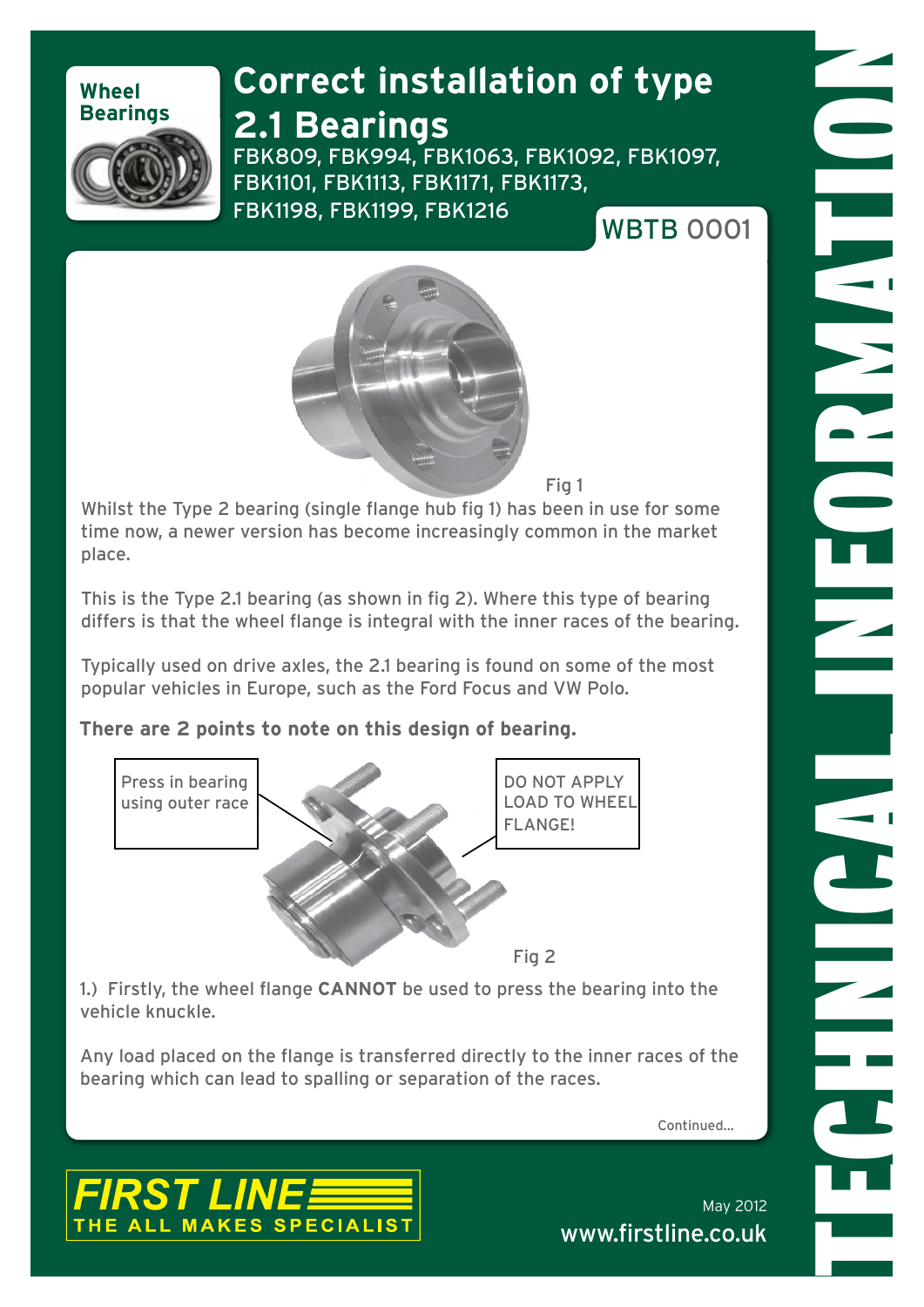### **Wheel Bearings**

## **Correct installation of type**

### **2.1 Bearings**



FBK809, FBK994, FBK1063, FBK1092, FBK1097, FBK1101, FBK1113, FBK1171, FBK1173, FBK1198, FBK1199, FBK1216 WRTB 0001





Fig 1

Whilst the Type 2 bearing (single flange hub fig 1) has been in use for some time now, a newer version has become increasingly common in the market place.

This is the Type 2.1 bearing (as shown in fig 2). Where this type of bearing differs is that the wheel flange is integral with the inner races of the bearing.

Typically used on drive axles, the 2.1 bearing is found on some of the most popular vehicles in Europe, such as the Ford Focus and VW Polo.

#### **There are 2 points to note on this design of bearing.**



1.) Firstly, the wheel flange **CANNOT** be used to press the bearing into the vehicle knuckle.

Any load placed on the flange is transferred directly to the inner races of the bearing which can lead to spalling or separation of the races.

Continued...



May 2012 www.firstline.co.uk